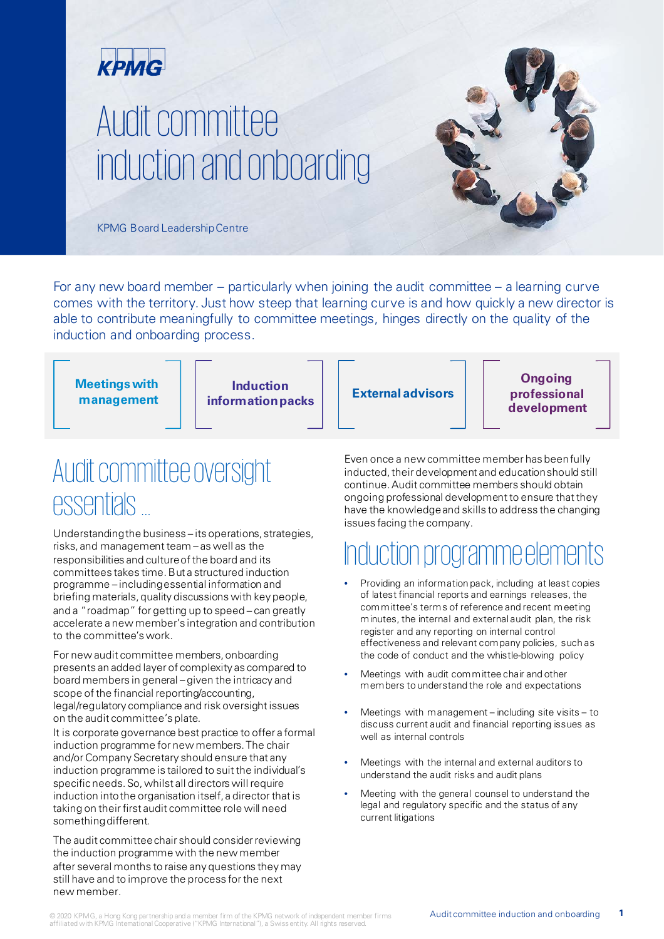

# Audit committee induction and onboarding



KPMG Board LeadershipCentre

For any new board member – particularly when joining the audit committee – a learning curve comes with the territory. Just how steep that learning curve is and how quickly a new director is able to contribute meaningfully to committee meetings, hinges directly on the quality of the induction and onboarding process.

| <b>Meetings with</b><br>management | <b>Induction</b><br><b>information packs</b> | <b>External advisors</b> | <b>Ongoing</b><br>professional<br>development |
|------------------------------------|----------------------------------------------|--------------------------|-----------------------------------------------|
|------------------------------------|----------------------------------------------|--------------------------|-----------------------------------------------|

### Audit committee oversight essentials …

Understanding the business – its operations, strategies, risks, and management team – as well as the responsibilities and culture of the board and its committees takes time. But a structured induction programme – including essential information and briefing materials, quality discussions with key people, and a "roadmap" for getting up to speed – can greatly accelerate a new member's integration and contribution to the committee's work.

For new audit committee members, onboarding presents an added layer of complexity as compared to board members in general – given the intricacy and scope of the financial reporting/accounting, legal/regulatory compliance and risk oversight issues on the audit committee's plate.

It is corporate governance best practice to offer a formal induction programme for new members. The chair and/or Company Secretary should ensure that any induction programme is tailored to suit the individual's specific needs. So, whilst all directors will require induction into the organisation itself, a director that is taking on their first audit committee role will need somethingdifferent.

The audit committee chair should consider reviewing the induction programme with the new member after several months to raise any questions they may still have and to improve the process for the next new member.

Even once a new committee member has been fully inducted, their development and education should still continue. Audit committee members should obtain ongoing professional development to ensure that they have the knowledge and skills to address the changing issues facing the company.

# Induction programme elements

- Providing an information pack, including at least copies of latest financial reports and earnings releases, the committee's terms of reference and recent meeting minutes, the internal and external audit plan, the risk register and any reporting on internal control effectiveness and relevant company policies, such as the code of conduct and the whistle-blowing policy
- Meetings with audit committee chair and other members to understand the role and expectations
- Meetings with management including site visits to discuss current audit and financial reporting issues as well as internal controls
- Meetings with the internal and external auditors to understand the audit risks and audit plans
- Meeting with the general counsel to understand the legal and regulatory specific and the status of any current litigations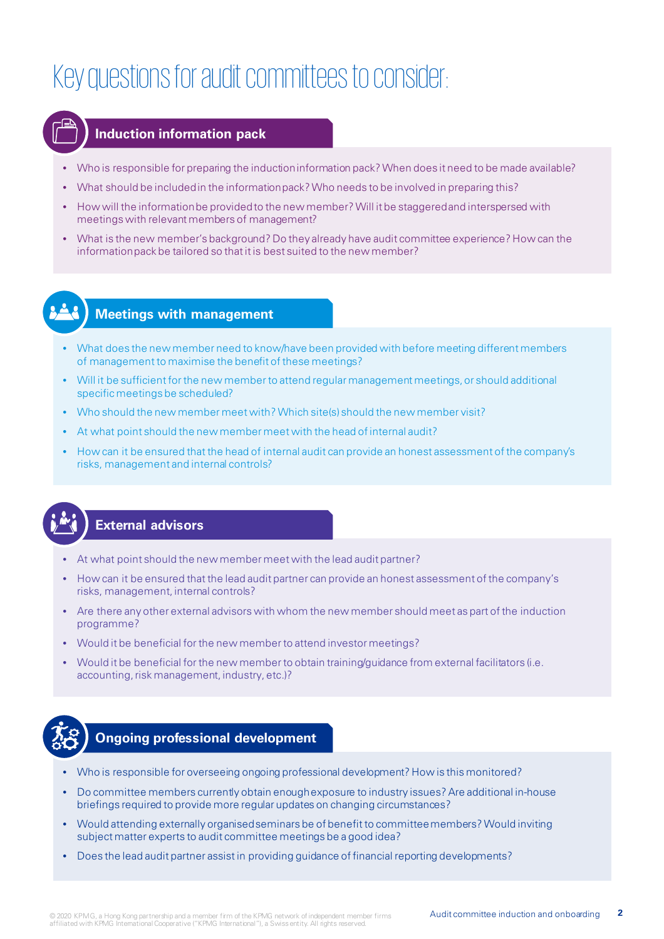# Key questions for audit committees to consider:



#### **Induction information pack**

- Who is responsible for preparing the induction information pack? When does it need to be made available?
- What should be included in the information pack? Who needs to be involved in preparing this?
- How will the information be provided to the new member? Will it be staggered and interspersed with meetings with relevant members of management?
- What is the new member's background? Do they already have audit committee experience? How can the information pack be tailored so that it is best suited to the new member?



### **Meetings with management**

- What does the new member need to know/have been provided with before meeting different members of management to maximise the benefit of these meetings?
- Will it be sufficient for the new member to attend regular management meetings, or should additional specific meetings be scheduled?
- Who should the new member meet with? Which site(s) should the new member visit?
- At what point should the new member meet with the head of internal audit?
- How can it be ensured that the head of internal audit can provide an honest assessment of the company's risks, management and internal controls?



### **External advisors**

- At what point should the new member meet with the lead audit partner?
- How can it be ensured that the lead audit partner can provide an honest assessment of the company's risks, management, internal controls?
- Are there any other external advisors with whom the new member should meet as part of the induction programme?
- Would it be beneficial for the new member to attend investor meetings?
- Would it be beneficial for the new member to obtain training/guidance from external facilitators (i.e. accounting, risk management, industry, etc.)?



### **Ongoing professional development**

- Who is responsible for overseeing ongoing professional development? How is this monitored?
- Do committee members currently obtain enough exposure to industry issues? Are additional in-house briefings required to provide more regular updates on changing circumstances?
- Would attending externally organised seminars be of benefit to committee members? Would inviting subject matter experts to audit committee meetings be a good idea?
- Does the lead audit partner assist in providing guidance of financial reporting developments?